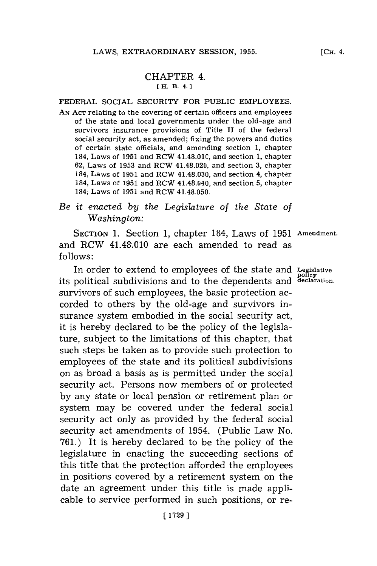## CHAPTER 4. [ H. B. 4.1

## FEDERAL **SOCIAL** SECURITY FOR **PUBLIC** EMPLOYEES.

AN Act relating to the covering of certain officers and employees of the state and local governments under the old-age and survivors insurance provisions of Title II of the federal social security act, as amended; fixing the powers and duties of certain state officials, and amending section **1,** chapter 184, Laws of **1951** and RCW 41.48.010, and section **1,** chapter **62,** Laws of **1953** and RCW 41.48.020, and section **3,** chapter 184, Laws of **1951** and RCW 41.48.030, and section 4, chapter 184, Laws of **1951** and RCW 41.48.040, and section **5,** chapter 184, Laws of **1951** and RCW 41.48.050.

# *Be it enacted by the Legislature of the State of Washington:*

**SECTION 1.** Section **1,** chapter 184, Laws of **1951 Amendment.** and  $RCW$  41.48.010 are each amended to read as **follows:**

In order to extend to employees of the state and **Legislative** its political subdivisions and to the dependents and declaration. survivors of such employees, the basic protection accorded to others **by** the old-age and survivors insurance system embodied in the social security act, it is hereby declared to be the policy of the legislature, subject to the limitations of this chapter, that such steps be taken as to provide such protection to employees of the state and its political subdivisions on as broad a basis as is permitted under the social security act. Persons now members of or protected **by** any state or local pension or retirement plan or system may be covered under the federal social security act only as provided **by** the federal social security act amendments of 1954. (Public Law No. **761.)** It is hereby declared to be the policy of the legislature in enacting the succeeding sections of this title that the protection afforded the employees in positions covered **by** a retirement system on the date an agreement under this title is made applicable to service performed in such positions, or re-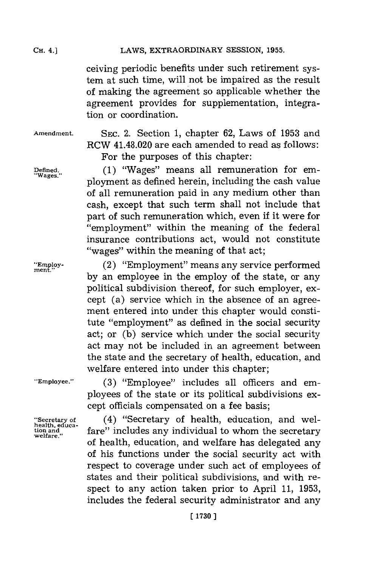### LAWS, EXTRAORDINARY SESSION, 1955.

ceiving periodic benefits under such retirement system at such time, will not be impaired as the result of making the agreement so applicable whether the agreement provides for supplementation, integration or coordination.

**CH.** 4.]

**Amendment.** SEC. 2. Section **1,** chapter **62,** Laws of **1953** and RCW 41.48.020 are each amended to read as follows: For the purposes of this chapter:

**Defined., (1)** "Wages" means all remuneration for em- **"Wages.** ployment as defined herein, including the cash value of all remuneration paid in any medium other than cash, except that such term shall not include that part of such remuneration which, even if it were for "employment" within the meaning of the federal insurance contributions act, would not constitute "wages" within the meaning of that act;

"Employ- **1993** (2) "Employment" means any service performed **by** an employee in the employ of the state, or any political subdivision thereof, for such employer, except (a) service which in the absence of an agreement entered into under this chapter would constitute "employment" as defined in the social security act; or **(b)** service which under the social security act may not be included in an agreement between the state and the secretary of health, education, and welfare entered into under this chapter;

**health, educa-**

**"Employee." (3)** "Employee" includes all officers and employees of the state or its political subdivisions except officials compensated on a fee basis;

**"Secretary of** (4) "Secretary of health, education, and welfare" includes any individual to whom the secretary of health, education, and welfare has delegated any of his functions under the social security act with respect to coverage under such act of employees of states and their political subdivisions, and with respect to any action taken prior to April **11, 1953,** includes the federal security administrator and any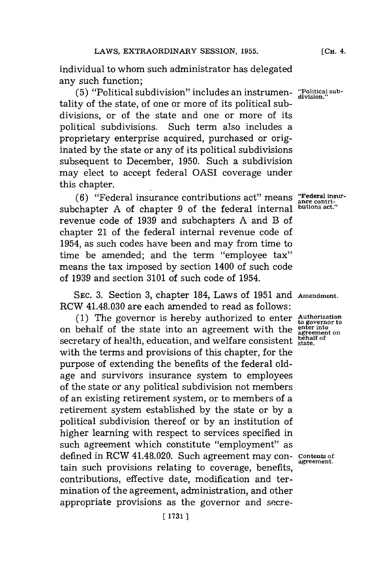individual to whom such administrator has delegated any such function;

**(5)** "Political subdivision" includes an instrumen-**"Political sub-division.'** tality of the state, of one or more of its political subdivisions, or of the state and one or more of its political subdivisions. Such term also includes a proprietary enterprise acquired, purchased or originated **by** the state or any of its political subdivisions subsequent to December, **1950.** Such a subdivision may elect to accept federal OASI coverage under this chapter.

(6) "Federal insurance contributions act" means "Federal insur-<br> **chapter** A of chapter 9 of the federal internal putions act." subchapter **A** of chapter **9** of the federal internal revenue code of **1939** and subchapters **A** and B of chapter 21 of the federal internal revenue code of 1954, as such codes have been and may from time to time be amended; and the term "employee tax" means the tax imposed **by** section 1400 of such code of **1939** and section **3101** of such code of 1954.

**SEC. 3.** Section **3,** chapter 184, Laws of **1951** and **Amendment.** RCW 41.48.030 are each amended to read as follows:

**(1)** The governor is hereby authorized to enter **Authorization to governor to** on behalf of the state into an agreement with the **ente inton** secretary of health, education, and welfare consistent **state** of with the terms and provisions of this chapter, for the purpose of extending the benefits of the federal oldage and survivors insurance system to employees of the state or any political subdivision not members of an existing retirement system, or to members of a retirement system established **by** the state or **by** a political subdivision thereof or **by** an institution of higher learning with respect to services specified in such agreement which constitute "employment" as defined in RCW 41.48.020. Such agreement may con-contents of tain such provisions relating to coverage, benefits, contributions, effective date, modification and termination of the agreement, administration, and other appropriate provisions as the governor and secre-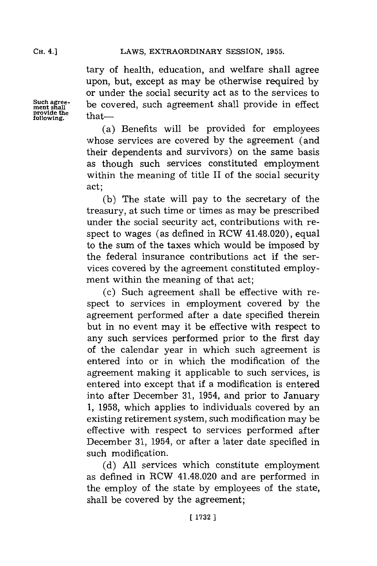**CH.** 4.]

tary of health, education, and welfare shall agree upon, but, except as may be otherwise required **by** or under the social security act as to the services to be covered, such agreement shall provide in effect that—

(a) Benefits will be provided for employees whose services are covered **by** the agreement (and their dependents and survivors) on the same basis as though such services constituted employment within the meaning of title II of the social security act;

**(b)** The state will pay to the secretary of the treasury, at such time or times as may be prescribed under the social security act, contributions with respect to wages (as defined in RCW 41.48.020), equal to the sum of the taxes which would be imposed **by** the federal insurance contributions act if the services covered **by** the agreement constituted employment within the meaning of that act;

(c) Such agreement shall be effective with respect to services in employment covered **by** the agreement performed after a date specified therein but in no event may it be effective with respect to any such services performed prior to the first day of the calendar year in which such agreement is entered into or in which the modification of the agreement making it applicable to such services, is entered into except that if a modification is entered into after December **31,** 1954, and prior to January **1, 1958,** which applies to individuals covered **by** an existing retirement system, such modification may be effective with respect to services performed after December **31,** 1954, or after a later date specified in such modification.

**(d) All** services which constitute employment as defined in RCW 41.48.020 and are performed in the employ of the state **by** employees of the state, shall be covered **by** the agreement;

**Such agree-**<br>ment shall<br>provide the<br>following.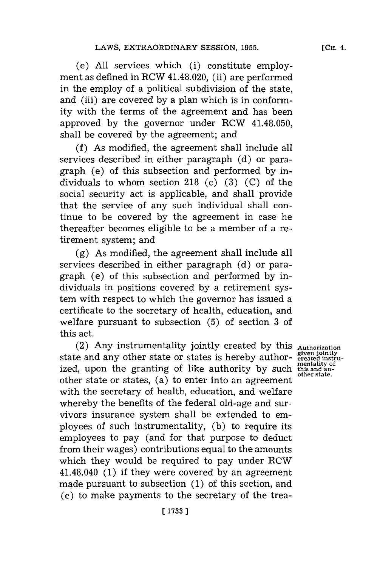(e) **All** services which (i) constitute employment as defined in RCW 41.48.020, (ii) are performed in the employ of a political subdivision of the state, and (iii) are covered **by** a plan which is in conformity with the terms of the agreement and has been approved **by** the governor under RCW 41.48.050, shall be covered **by** the agreement; and

**(f)** As modified, the agreement shall include all services described in either paragraph **(d)** or paragraph (e) of this subsection and performed **by** individuals to whom section **218** (c) **(3) (C)** of the social security act is applicable, and shall provide that the service of any such individual shall continue to be covered **by** the agreement in case he thereafter becomes eligible to be a member of a retirement system; and

**(g)** As modified, the agreement shall include all services described in either paragraph **(d)** or paragraph (e) of this subsection and performed **by** individuals in positions covered **by** a retirement system with respect to which the governor has issued a certificate to the secretary of health, education, and welfare pursuant to subsection **(5)** of section **3** of this act.

(2) Any instrumentality jointly created **by** this **Authorization** state and any other state or states is hereby authorized, upon the granting of like authority **by** such other state or states, (a) to enter into an agreement with the secretary of health, education, and welfare whereby the benefits of the federal old-age and survivors insurance system shall be extended to employees of such instrumentality, **(b)** to require its employees to pay (and for that purpose to deduct from their wages) contributions equal to the amounts which they would be required to pay under RCW 41.48.040 **(1)** if they were covered **by** an agreement made pursuant to subsection **(1)** of this section, and (c) to make payments to the secretary of the trea-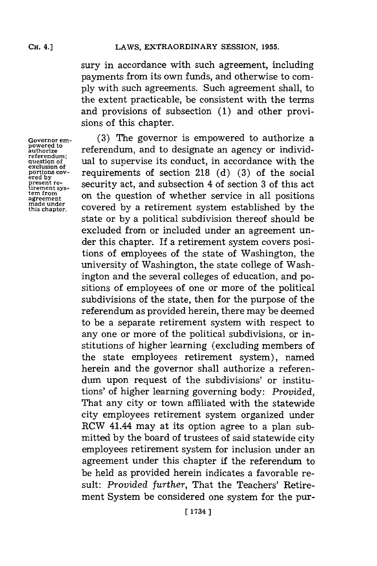sury in accordance with such agreement, including payments from its own funds, and otherwise to com**ply** with such agreements. Such agreement shall, to the extent practicable, be consistent with the terms and provisions of subsection **(1)** and other provisions of this chapter.

**Governor em- powered to authorize referendum; question of exclusion of portions cov- ered by present re- tirement Sys- tem from agreement made under this chapter.**

**(3)** The governor is empowered to authorize a referendum, and to designate an agency or individual to supervise its conduct, in accordance with the requirements of section **218 (d) (3)** of the social security act, and subsection 4 of section **3** of this act on the question of whether service in all positions covered **by** a retirement system established **by** the state or **by** a political subdivision thereof should be excluded from or included under an agreement under this chapter. If a retirement system covers positions of employees of the state of Washington, the university of Washington, the state college of Washington and the several colleges of education, and positions of employees of one or more of the political subdivisions of the state, then for the purpose of the referendum as provided herein, there may be deemed to be a separate retirement system with respect to any one or more of the political subdivisions, or institutions of higher learning (excluding members of the state employees retirement system), named herein and the governor shall authorize a referendum upon request of the subdivisions' or institutions' of higher learning governing body: *Provided,* That any city or town affiliated with the statewide city employees retirement system organized under RCW 41.44 may at its option agree to a plan submitted **by** the board of trustees of said statewide city employees retirement system for inclusion under an agreement under this chapter if the referendum to be held as provided herein indicates a favorable result: *Provided further,* That the Teachers' Retirement System be considered one system for the pur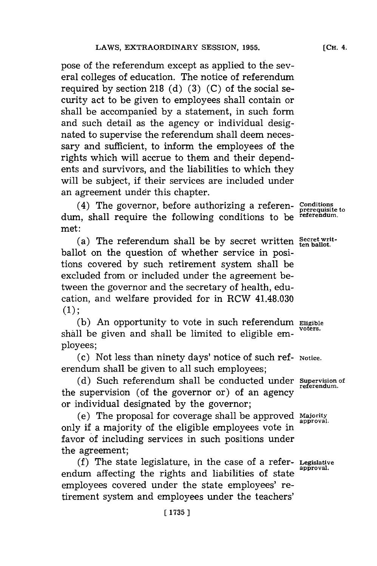pose of the referendum except as applied to the several colleges of education. The notice of referendum required **by** section **218 (d) (3) (C)** of the social security act to be given to employees shall contain or shall be accompanied **by** a statement, in such form and such detail as the agency or individual designated to supervise the referendum shall deem necessary and sufficient, to inform the employees of the rights which will accrue to them and their dependents and survivors, and the liabilities to which they will be subject, **if** their services are included under an agreement under this chapter.

(4) The governor, before authorizing a referen- **Conditions prerequisite to** dum, shall require the following conditions to be **referendum.** met:

(a) The referendum shall be **by** secret written **Secret writ-ten ballot.** ballot on the question of whether service in positions covered **by** such retirement system shall be excluded from or included under the agreement between the governor and the secretary of health, education, and welfare provided for in RCW 41.48.030 **(1);**

**(b)** An opportunity to vote in such referendum **Eligible** shall be given and shall be limited to eligible employees;

(c) Not less than ninety days' notice of such ref- **Notice.** erendum shall be given to all such employees;

**(d)** Such referendum shall be conducted under **Supervision of** the supervision (of the governor or) of an agency or individual designated **by** the governor;

(e) The proposal for coverage shall be approved **Majority** only if a majority of the eligible employees vote in favor of including services in such positions under the agreement;

**(f)** The state legislature, in the case of a refer- **Legislative** endum affecting the rights and liabilities of state employees covered under the state employees' retirement system and employees under the teachers'

**referendum.**

**[CH.** 4.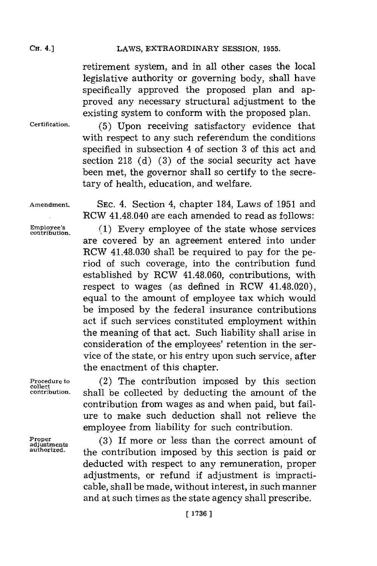retirement system, and in all other cases the local legislative authority or governing body, shall have specifically approved the proposed plan and approved any necessary structural adjustment to the existing system to conform with the proposed plan.

**Certification. (5)** Upon receiving satisfactory evidence that with respect to any such referendum the conditions specified in subsection 4 of section **3** of this act and section **218 (d) (3)** of the social security act have been met, the governor shall so certify to the secretary of health, education, and welfare.

**Amendment. SEC.** 4. Section 4, chapter 184, Laws of **1951** and RCW 41.48.040 are each amended to read as follows:

**Employee's (1)** Every employee of the state whose services **contribution.** are covered **by** an agreement entered into under RCW 41.48.030 shall be required to pay for the period of such coverage, into the contribution fund established **by** ROW 41.48.060, contributions, with respect to wages (as defined in RCW 41.48.020). equal to the amount of employee tax which would be imposed **by** the federal insurance contributions act if such services constituted employment within the meaning of that act. Such liability shall arise in consideration of the employees' retention in the service of the state, or his entry upon such service, after the enactment of this chapter.

**collect**<br>contribution.

Proper<br>adjustments<br>authorized.

**Procedure to** (2) The contribution imposed **by** this section **contribution,** shall be collected **by** deducting the amount of the contribution from wages as and when paid, but failure to make such deduction shall not relieve the employee from liability for such contribution.

> (3) If more or less than the correct amount of **authorized,** the contribution imposed **by** this section is paid or deducted with respect to any remuneration, proper adjustments, or refund if adjustment is impracticable, shall be made, without interest, in such manner and at such times as the state agency shall prescribe.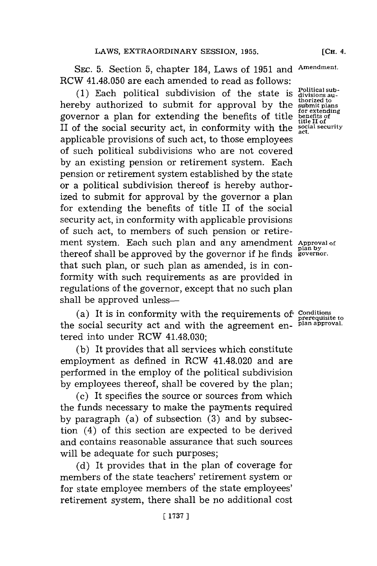**SEc. 5.** Section **5,** chapter 184, Laws of **1951** and **Amendment.** RCW 41.48.050 are each amended to read as follows:

(1) Each political subdivision of the state is  $\frac{\text{Politional sub-}}{\text{thorized to}}$  hereby authorized to submit for approval by the submit plans governor a plan for extending the benefits of title **benefits of** II of the social security act, in conformity with the **social security** applicable provisions of such act, to those employees of such political subdivisions who are not covered **by** an existing pension or retirement system. Each pension or retirement system established **by** the state or a political subdivision thereof is hereby authorized to submit for approval **by** the governor a plan for extending the benefits of title II of the social security act, in conformity with applicable provisions of such act, to members of such pension or retirement system. Each such plan and any amendment **Approval of plan by** thereof shall be approved **by** the governor if he fnds **governor.** that such plan, or such plan as amended, is in conformity with such requirements as are provided in regulations of the governor, except that no such plan shall be approved unless-

(a) It is in conformity with the requirements of **Conditions** prerequisite to the social security act and with the agreement en- **plan approval.** tered into under RCW 41.48.030;

**(b)** It provides that all services which constitute employment as defined in RCW 41.48.020 and are performed in the employ of the political subdivision **by** employees thereof, shall be covered **by** the plan;

(c) It specifies the source or sources from which the funds necessary to make the payments required **by** paragraph (a) of subsection **(3)** and **by** subsection (4) of this section are expected to be derived and contains reasonable assurance that such sources will be adequate for such purposes;

**(d)** It provides that in the plan of coverage for members of the state teachers' retirement system or for state employee members of the state employees' retirement system, there shall be no additional cost

divisions au-<br>thorized to<br>submit plans<br>for extending<br>benefits of<br>title II of<br>social security<br>ot **act.**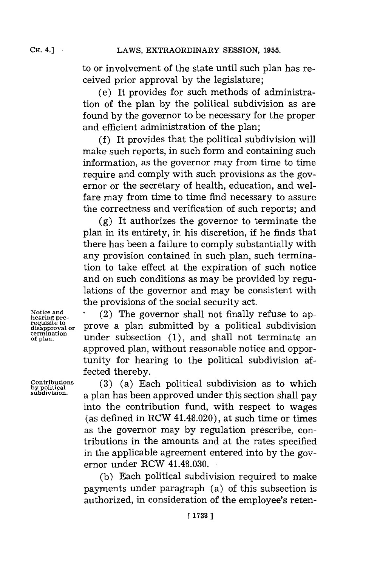**CH.** 4.] **-**

to or involvement of the state until such plan has received prior approval **by** the legislature;

(e) It provides for such methods of administration of the plan **by** the political subdivision as are found **by** the governor to be necessary for the proper and efficient administration of the plan;

**(f)** It provides that the political subdivision will make such reports, in such form and containing such information, as the governor may from time to time require and comply with such provisions as the governor or the secretary of health, education, and welfare may from time to time find necessary to assure the correctness and verification of such reports; and

**(g)** It authorizes the governor to terminate the plan in its entirety, in his discretion, if he finds that there has been a failure to comply substantially with any provision contained in such plan, such termination to take effect at the expiration of such notice and on such conditions as may be provided **by** regulations of the governor and may be consistent with the provisions of the social security act.

**requisite to**<br>requisite to<br>disapproval or **termination**

Notice and **come and increase in C**(2) The governor shall not finally refuse to ap**disapproval or** prove a plan submitted **by** a political subdivision of pan. under subsection **(1),** and shall not terminate an approved plan, without reasonable notice and opportunity for hearing to the political subdivision af  fected thereby.

 $\text{Continuions}$  (3) (a) Each political subdivision as to which by political  $\text{Subdivial}$  and  $\text{Subdivial}$   $\text{Subdivial}$   $\text{Subdivial}$   $\text{Subdivial}$ a plan has been approved under this section shall pay into the contribution fund, with respect to wages (as defined in RCW 41.48.020), at such time or times as the governor may **by** regulation prescribe, contributions in the amounts and at the rates specified in the applicable agreement entered into **by** the governor under RCW 41.48.030.

> **(b)** Each political subdivision required to make payments under paragraph (a) of this subsection is authorized, in consideration of the employee's reten-